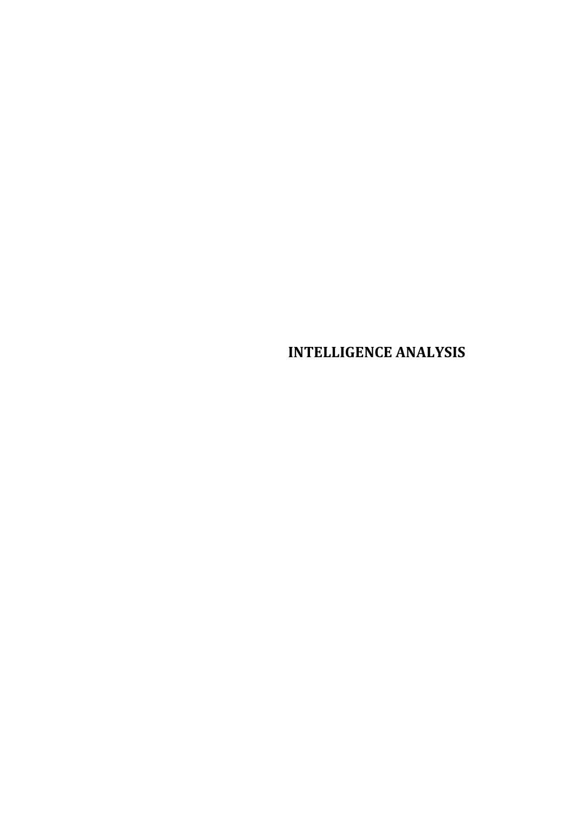# **INTELLIGENCE ANALYSIS**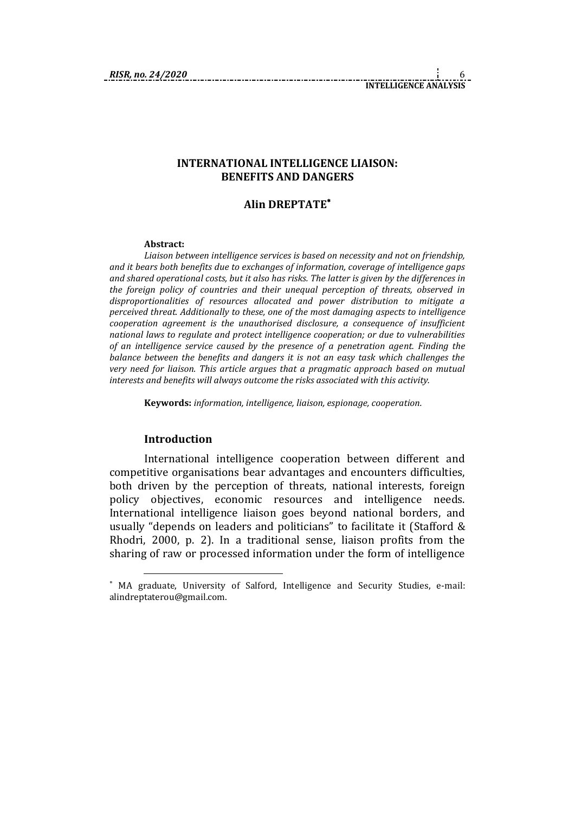#### **INTERNATIONAL INTELLIGENCE LIAISON: BENEFITS AND DANGERS**

#### **Alin DREPTATE**

#### **Abstract:**

*Liaison between intelligence services is based on necessity and not on friendship, and it bears both benefits due to exchanges of information, coverage of intelligence gaps and shared operational costs, but it also has risks. The latter is given by the differences in the foreign policy of countries and their unequal perception of threats, observed in disproportionalities of resources allocated and power distribution to mitigate a perceived threat. Additionally to these, one of the most damaging aspects to intelligence cooperation agreement is the unauthorised disclosure, a consequence of insufficient national laws to regulate and protect intelligence cooperation; or due to vulnerabilities of an intelligence service caused by the presence of a penetration agent. Finding the balance between the benefits and dangers it is not an easy task which challenges the very need for liaison. This article argues that a pragmatic approach based on mutual interests and benefits will always outcome the risks associated with this activity.*

**Keywords:** *information, intelligence, liaison, espionage, cooperation.*

#### **Introduction**

1

International intelligence cooperation between different and competitive organisations bear advantages and encounters difficulties, both driven by the perception of threats, national interests, foreign policy objectives, economic resources and intelligence needs. International intelligence liaison goes beyond national borders, and usually "depends on leaders and politicians" to facilitate it (Stafford & Rhodri, 2000, p. 2). In a traditional sense, liaison profits from the sharing of raw or processed information under the form of intelligence

MA graduate, University of Salford, Intelligence and Security Studies, e-mail: alindreptaterou@gmail.com.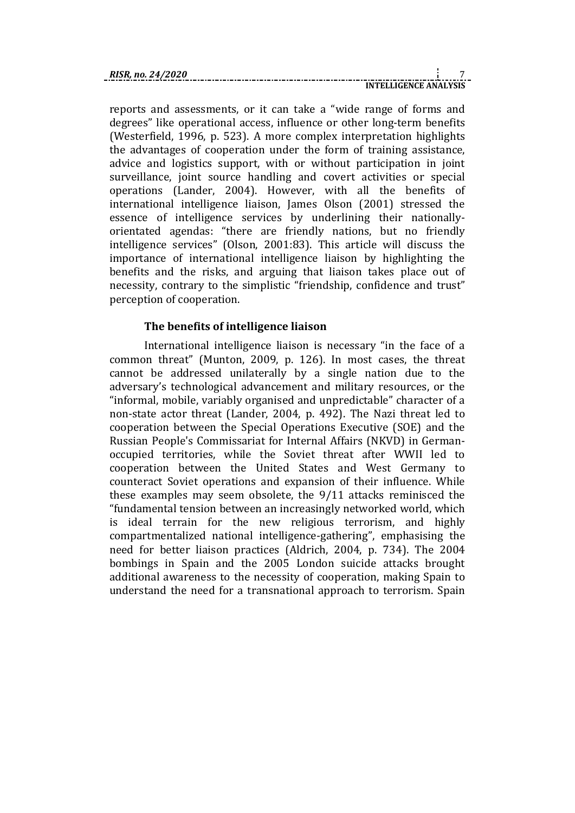reports and assessments, or it can take a "wide range of forms and degrees" like operational access, influence or other long-term benefits (Westerfield, 1996, p. 523). A more complex interpretation highlights the advantages of cooperation under the form of training assistance, advice and logistics support, with or without participation in joint surveillance, joint source handling and covert activities or special operations (Lander, 2004). However, with all the benefits of international intelligence liaison, James Olson (2001) stressed the essence of intelligence services by underlining their nationallyorientated agendas: "there are friendly nations, but no friendly intelligence services" (Olson, 2001:83). This article will discuss the importance of international intelligence liaison by highlighting the benefits and the risks, and arguing that liaison takes place out of necessity, contrary to the simplistic "friendship, confidence and trust" perception of cooperation.

# **The benefits of intelligence liaison**

International intelligence liaison is necessary "in the face of a common threat" (Munton, 2009, p. 126). In most cases, the threat cannot be addressed unilaterally by a single nation due to the adversary's technological advancement and military resources, or the "informal, mobile, variably organised and unpredictable" character of a non-state actor threat (Lander, 2004, p. 492). The Nazi threat led to cooperation between the Special Operations Executive (SOE) and the Russian People's Commissariat for Internal Affairs (NKVD) in Germanoccupied territories, while the Soviet threat after WWII led to cooperation between the United States and West Germany to counteract Soviet operations and expansion of their influence. While these examples may seem obsolete, the 9/11 attacks reminisced the "fundamental tension between an increasingly networked world, which is ideal terrain for the new religious terrorism, and highly compartmentalized national intelligence-gathering", emphasising the need for better liaison practices (Aldrich, 2004, p. 734). The 2004 bombings in Spain and the 2005 London suicide attacks brought additional awareness to the necessity of cooperation, making Spain to understand the need for a transnational approach to terrorism. Spain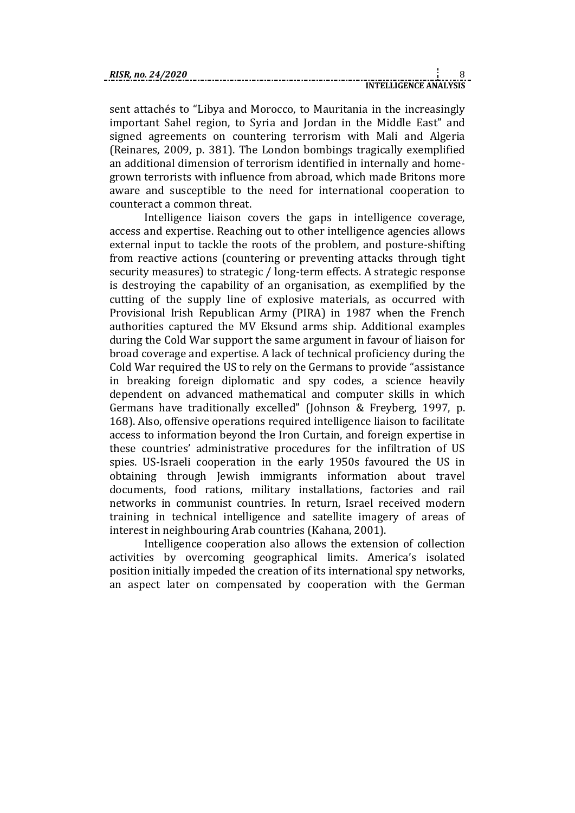sent attachés to "Libya and Morocco, to Mauritania in the increasingly important Sahel region, to Syria and Jordan in the Middle East" and signed agreements on countering terrorism with Mali and Algeria (Reinares, 2009, p. 381). The London bombings tragically exemplified an additional dimension of terrorism identified in internally and homegrown terrorists with influence from abroad, which made Britons more aware and susceptible to the need for international cooperation to counteract a common threat.

Intelligence liaison covers the gaps in intelligence coverage, access and expertise. Reaching out to other intelligence agencies allows external input to tackle the roots of the problem, and posture-shifting from reactive actions (countering or preventing attacks through tight security measures) to strategic / long-term effects. A strategic response is destroying the capability of an organisation, as exemplified by the cutting of the supply line of explosive materials, as occurred with Provisional Irish Republican Army (PIRA) in 1987 when the French authorities captured the MV Eksund arms ship. Additional examples during the Cold War support the same argument in favour of liaison for broad coverage and expertise. A lack of technical proficiency during the Cold War required the US to rely on the Germans to provide "assistance in breaking foreign diplomatic and spy codes, a science heavily dependent on advanced mathematical and computer skills in which Germans have traditionally excelled" (Johnson & Freyberg, 1997, p. 168). Also, offensive operations required intelligence liaison to facilitate access to information beyond the Iron Curtain, and foreign expertise in these countries' administrative procedures for the infiltration of US spies. US-Israeli cooperation in the early 1950s favoured the US in obtaining through Jewish immigrants information about travel documents, food rations, military installations, factories and rail networks in communist countries. In return, Israel received modern training in technical intelligence and satellite imagery of areas of interest in neighbouring Arab countries (Kahana, 2001).

Intelligence cooperation also allows the extension of collection activities by overcoming geographical limits. America's isolated position initially impeded the creation of its international spy networks, an aspect later on compensated by cooperation with the German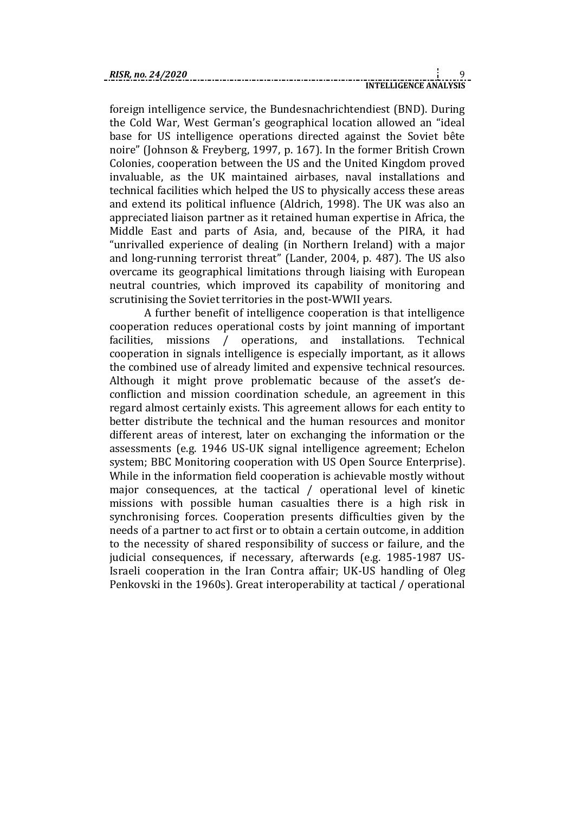foreign intelligence service, the Bundesnachrichtendiest (BND). During the Cold War, West German's geographical location allowed an "ideal base for US intelligence operations directed against the Soviet bête noire" (Johnson & Freyberg, 1997, p. 167). In the former British Crown Colonies, cooperation between the US and the United Kingdom proved invaluable, as the UK maintained airbases, naval installations and technical facilities which helped the US to physically access these areas and extend its political influence (Aldrich, 1998). The UK was also an appreciated liaison partner as it retained human expertise in Africa, the Middle East and parts of Asia, and, because of the PIRA, it had "unrivalled experience of dealing (in Northern Ireland) with a major and long-running terrorist threat" (Lander, 2004, p. 487). The US also overcame its geographical limitations through liaising with European neutral countries, which improved its capability of monitoring and scrutinising the Soviet territories in the post-WWII years.

A further benefit of intelligence cooperation is that intelligence cooperation reduces operational costs by joint manning of important facilities, missions / operations, and installations. Technical cooperation in signals intelligence is especially important, as it allows the combined use of already limited and expensive technical resources. Although it might prove problematic because of the asset's deconfliction and mission coordination schedule, an agreement in this regard almost certainly exists. This agreement allows for each entity to better distribute the technical and the human resources and monitor different areas of interest, later on exchanging the information or the assessments (e.g. 1946 US-UK signal intelligence agreement; Echelon system; BBC Monitoring cooperation with US Open Source Enterprise). While in the information field cooperation is achievable mostly without major consequences, at the tactical / operational level of kinetic missions with possible human casualties there is a high risk in synchronising forces. Cooperation presents difficulties given by the needs of a partner to act first or to obtain a certain outcome, in addition to the necessity of shared responsibility of success or failure, and the judicial consequences, if necessary, afterwards (e.g. 1985-1987 US-Israeli cooperation in the Iran Contra affair; UK-US handling of Oleg Penkovski in the 1960s). Great interoperability at tactical / operational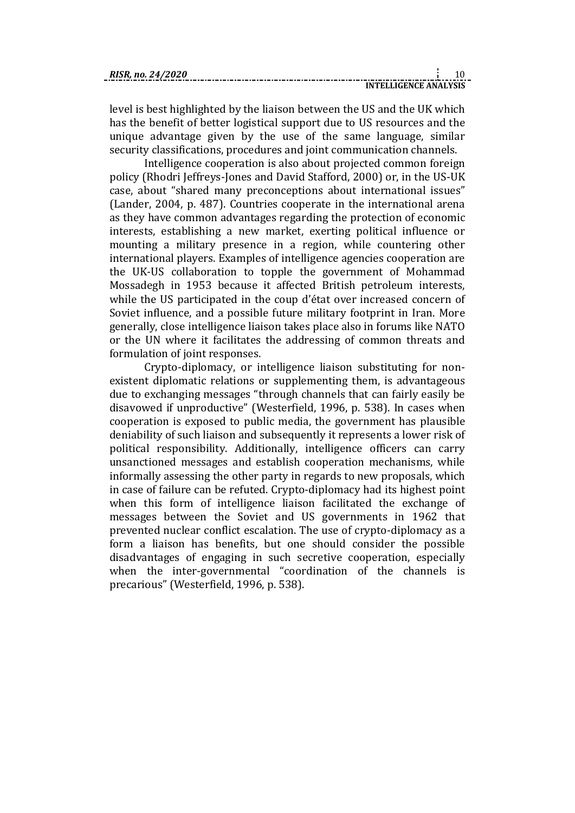| RISR. no. 24/2020 |  |  |
|-------------------|--|--|
|                   |  |  |

level is best highlighted by the liaison between the US and the UK which has the benefit of better logistical support due to US resources and the unique advantage given by the use of the same language, similar security classifications, procedures and joint communication channels.

Intelligence cooperation is also about projected common foreign policy (Rhodri Jeffreys-Jones and David Stafford, 2000) or, in the US-UK case, about "shared many preconceptions about international issues" (Lander, 2004, p. 487). Countries cooperate in the international arena as they have common advantages regarding the protection of economic interests, establishing a new market, exerting political influence or mounting a military presence in a region, while countering other international players. Examples of intelligence agencies cooperation are the UK-US collaboration to topple the government of Mohammad Mossadegh in 1953 because it affected British petroleum interests, while the US participated in the coup d'état over increased concern of Soviet influence, and a possible future military footprint in Iran. More generally, close intelligence liaison takes place also in forums like NATO or the UN where it facilitates the addressing of common threats and formulation of joint responses.

Crypto-diplomacy, or intelligence liaison substituting for nonexistent diplomatic relations or supplementing them, is advantageous due to exchanging messages "through channels that can fairly easily be disavowed if unproductive" (Westerfield, 1996, p. 538). In cases when cooperation is exposed to public media, the government has plausible deniability of such liaison and subsequently it represents a lower risk of political responsibility. Additionally, intelligence officers can carry unsanctioned messages and establish cooperation mechanisms, while informally assessing the other party in regards to new proposals, which in case of failure can be refuted. Crypto-diplomacy had its highest point when this form of intelligence liaison facilitated the exchange of messages between the Soviet and US governments in 1962 that prevented nuclear conflict escalation. The use of crypto-diplomacy as a form a liaison has benefits, but one should consider the possible disadvantages of engaging in such secretive cooperation, especially when the inter-governmental "coordination of the channels is precarious" (Westerfield, 1996, p. 538).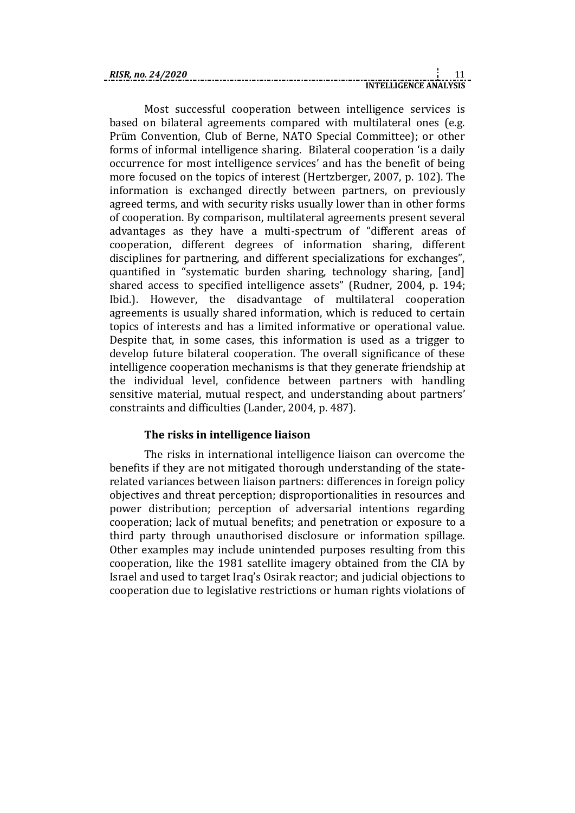| RISR. no. 24/2020 |                              |  |  |
|-------------------|------------------------------|--|--|
|                   | <b>INTELLIGENCE ANALYSIS</b> |  |  |

Most successful cooperation between intelligence services is based on bilateral agreements compared with multilateral ones (e.g. Prüm Convention, Club of Berne, NATO Special Committee); or other forms of informal intelligence sharing. Bilateral cooperation 'is a daily occurrence for most intelligence services' and has the benefit of being more focused on the topics of interest (Hertzberger, 2007, p. 102). The information is exchanged directly between partners, on previously agreed terms, and with security risks usually lower than in other forms of cooperation. By comparison, multilateral agreements present several advantages as they have a multi-spectrum of "different areas of cooperation, different degrees of information sharing, different disciplines for partnering, and different specializations for exchanges", quantified in "systematic burden sharing, technology sharing, [and] shared access to specified intelligence assets" (Rudner, 2004, p. 194; Ibid.). However, the disadvantage of multilateral cooperation agreements is usually shared information, which is reduced to certain topics of interests and has a limited informative or operational value. Despite that, in some cases, this information is used as a trigger to develop future bilateral cooperation. The overall significance of these intelligence cooperation mechanisms is that they generate friendship at the individual level, confidence between partners with handling sensitive material, mutual respect, and understanding about partners' constraints and difficulties (Lander, 2004, p. 487).

# **The risks in intelligence liaison**

The risks in international intelligence liaison can overcome the benefits if they are not mitigated thorough understanding of the staterelated variances between liaison partners: differences in foreign policy objectives and threat perception; disproportionalities in resources and power distribution; perception of adversarial intentions regarding cooperation; lack of mutual benefits; and penetration or exposure to a third party through unauthorised disclosure or information spillage. Other examples may include unintended purposes resulting from this cooperation, like the 1981 satellite imagery obtained from the CIA by Israel and used to target Iraq's Osirak reactor; and judicial objections to cooperation due to legislative restrictions or human rights violations of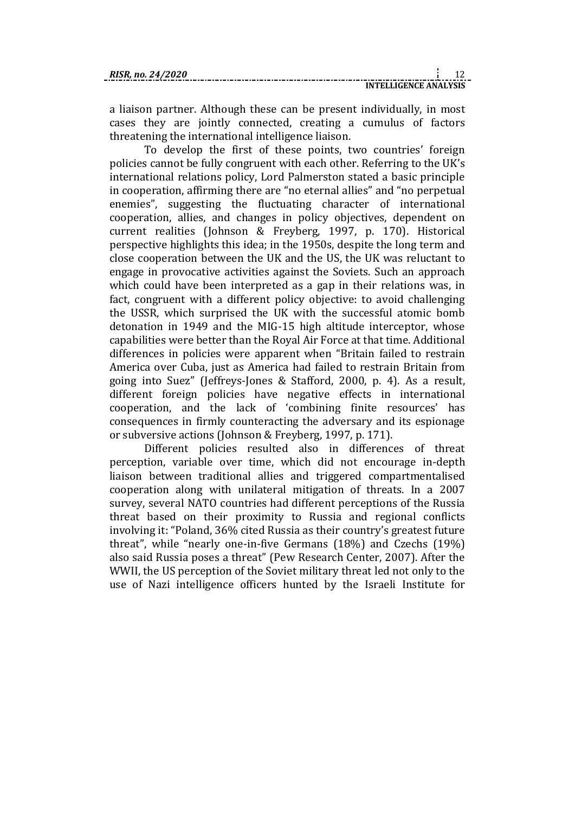a liaison partner. Although these can be present individually, in most cases they are jointly connected, creating a cumulus of factors threatening the international intelligence liaison.

To develop the first of these points, two countries' foreign policies cannot be fully congruent with each other. Referring to the UK's international relations policy, Lord Palmerston stated a basic principle in cooperation, affirming there are "no eternal allies" and "no perpetual enemies", suggesting the fluctuating character of international cooperation, allies, and changes in policy objectives, dependent on current realities (Johnson & Freyberg, 1997, p. 170). Historical perspective highlights this idea; in the 1950s, despite the long term and close cooperation between the UK and the US, the UK was reluctant to engage in provocative activities against the Soviets. Such an approach which could have been interpreted as a gap in their relations was, in fact, congruent with a different policy objective: to avoid challenging the USSR, which surprised the UK with the successful atomic bomb detonation in 1949 and the MIG-15 high altitude interceptor, whose capabilities were better than the Royal Air Force at that time. Additional differences in policies were apparent when "Britain failed to restrain America over Cuba, just as America had failed to restrain Britain from going into Suez" (Jeffreys-Jones & Stafford, 2000, p. 4). As a result, different foreign policies have negative effects in international cooperation, and the lack of 'combining finite resources' has consequences in firmly counteracting the adversary and its espionage or subversive actions (Johnson & Freyberg, 1997, p. 171).

Different policies resulted also in differences of threat perception, variable over time, which did not encourage in-depth liaison between traditional allies and triggered compartmentalised cooperation along with unilateral mitigation of threats. In a 2007 survey, several NATO countries had different perceptions of the Russia threat based on their proximity to Russia and regional conflicts involving it: "Poland, 36% cited Russia as their country's greatest future threat", while "nearly one-in-five Germans (18%) and Czechs (19%) also said Russia poses a threat" (Pew Research Center, 2007). After the WWII, the US perception of the Soviet military threat led not only to the use of Nazi intelligence officers hunted by the Israeli Institute for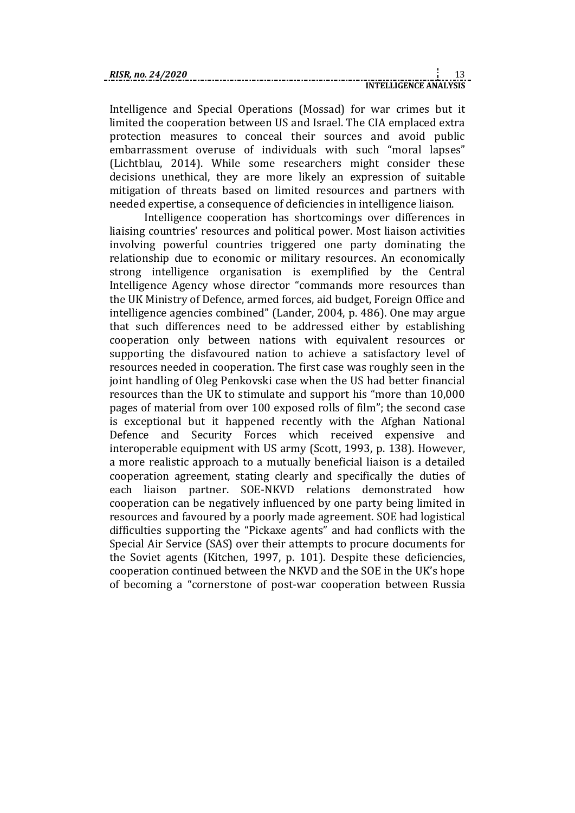Intelligence and Special Operations (Mossad) for war crimes but it limited the cooperation between US and Israel. The CIA emplaced extra protection measures to conceal their sources and avoid public embarrassment overuse of individuals with such "moral lapses" (Lichtblau, 2014). While some researchers might consider these decisions unethical, they are more likely an expression of suitable mitigation of threats based on limited resources and partners with needed expertise, a consequence of deficiencies in intelligence liaison.

Intelligence cooperation has shortcomings over differences in liaising countries' resources and political power. Most liaison activities involving powerful countries triggered one party dominating the relationship due to economic or military resources. An economically strong intelligence organisation is exemplified by the Central Intelligence Agency whose director "commands more resources than the UK Ministry of Defence, armed forces, aid budget, Foreign Office and intelligence agencies combined" (Lander, 2004, p. 486). One may argue that such differences need to be addressed either by establishing cooperation only between nations with equivalent resources or supporting the disfavoured nation to achieve a satisfactory level of resources needed in cooperation. The first case was roughly seen in the joint handling of Oleg Penkovski case when the US had better financial resources than the UK to stimulate and support his "more than 10,000 pages of material from over 100 exposed rolls of film"; the second case is exceptional but it happened recently with the Afghan National Defence and Security Forces which received expensive and interoperable equipment with US army (Scott, 1993, p. 138). However, a more realistic approach to a mutually beneficial liaison is a detailed cooperation agreement, stating clearly and specifically the duties of each liaison partner. SOE-NKVD relations demonstrated how cooperation can be negatively influenced by one party being limited in resources and favoured by a poorly made agreement. SOE had logistical difficulties supporting the "Pickaxe agents" and had conflicts with the Special Air Service (SAS) over their attempts to procure documents for the Soviet agents (Kitchen, 1997, p. 101). Despite these deficiencies, cooperation continued between the NKVD and the SOE in the UK's hope of becoming a "cornerstone of post-war cooperation between Russia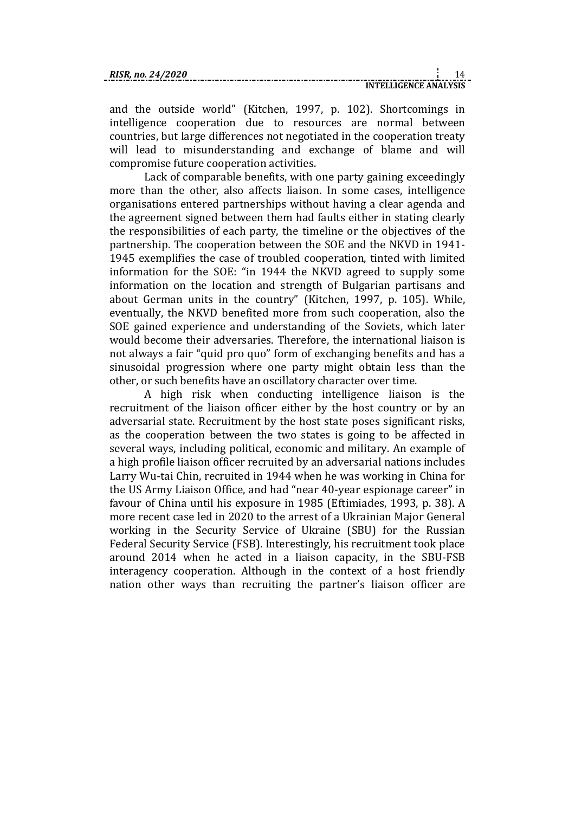and the outside world" (Kitchen, 1997, p. 102). Shortcomings in intelligence cooperation due to resources are normal between countries, but large differences not negotiated in the cooperation treaty will lead to misunderstanding and exchange of blame and will compromise future cooperation activities.

Lack of comparable benefits, with one party gaining exceedingly more than the other, also affects liaison. In some cases, intelligence organisations entered partnerships without having a clear agenda and the agreement signed between them had faults either in stating clearly the responsibilities of each party, the timeline or the objectives of the partnership. The cooperation between the SOE and the NKVD in 1941- 1945 exemplifies the case of troubled cooperation, tinted with limited information for the SOE: "in 1944 the NKVD agreed to supply some information on the location and strength of Bulgarian partisans and about German units in the country" (Kitchen, 1997, p. 105). While, eventually, the NKVD benefited more from such cooperation, also the SOE gained experience and understanding of the Soviets, which later would become their adversaries. Therefore, the international liaison is not always a fair "quid pro quo" form of exchanging benefits and has a sinusoidal progression where one party might obtain less than the other, or such benefits have an oscillatory character over time.

A high risk when conducting intelligence liaison is the recruitment of the liaison officer either by the host country or by an adversarial state. Recruitment by the host state poses significant risks, as the cooperation between the two states is going to be affected in several ways, including political, economic and military. An example of a high profile liaison officer recruited by an adversarial nations includes Larry Wu-tai Chin, recruited in 1944 when he was working in China for the US Army Liaison Office, and had "near 40-year espionage career" in favour of China until his exposure in 1985 (Eftimiades, 1993, p. 38). A more recent case led in 2020 to the arrest of a Ukrainian Major General working in the Security Service of Ukraine (SBU) for the Russian Federal Security Service (FSB). Interestingly, his recruitment took place around 2014 when he acted in a liaison capacity, in the SBU-FSB interagency cooperation. Although in the context of a host friendly nation other ways than recruiting the partner's liaison officer are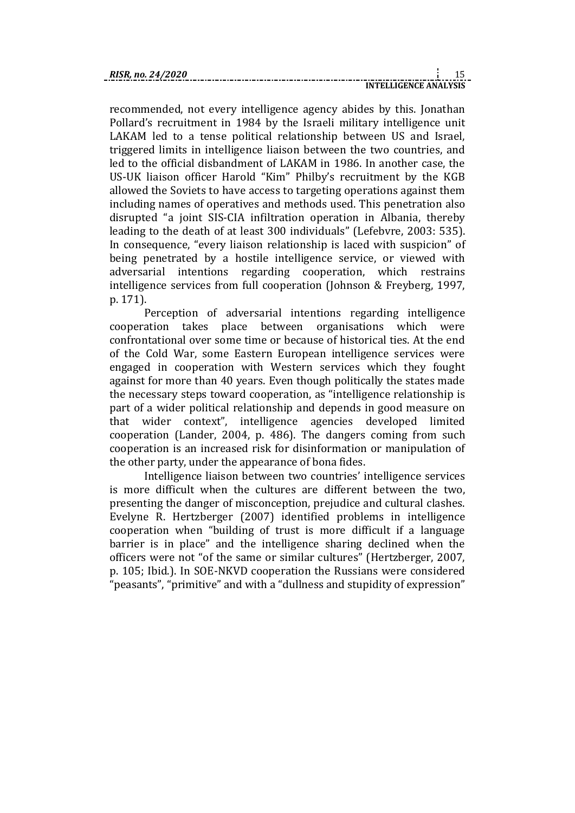recommended, not every intelligence agency abides by this. Jonathan Pollard's recruitment in 1984 by the Israeli military intelligence unit LAKAM led to a tense political relationship between US and Israel, triggered limits in intelligence liaison between the two countries, and led to the official disbandment of LAKAM in 1986. In another case, the US-UK liaison officer Harold "Kim" Philby's recruitment by the KGB allowed the Soviets to have access to targeting operations against them including names of operatives and methods used. This penetration also disrupted "a joint SIS-CIA infiltration operation in Albania, thereby leading to the death of at least 300 individuals" (Lefebvre, 2003: 535). In consequence, "every liaison relationship is laced with suspicion" of being penetrated by a hostile intelligence service, or viewed with adversarial intentions regarding cooperation, which restrains intelligence services from full cooperation (Johnson & Freyberg, 1997, p. 171).

Perception of adversarial intentions regarding intelligence cooperation takes place between organisations which were confrontational over some time or because of historical ties. At the end of the Cold War, some Eastern European intelligence services were engaged in cooperation with Western services which they fought against for more than 40 years. Even though politically the states made the necessary steps toward cooperation, as "intelligence relationship is part of a wider political relationship and depends in good measure on that wider context", intelligence agencies developed limited cooperation (Lander, 2004, p. 486). The dangers coming from such cooperation is an increased risk for disinformation or manipulation of the other party, under the appearance of bona fides.

Intelligence liaison between two countries' intelligence services is more difficult when the cultures are different between the two, presenting the danger of misconception, prejudice and cultural clashes. Evelyne R. Hertzberger (2007) identified problems in intelligence cooperation when "building of trust is more difficult if a language barrier is in place" and the intelligence sharing declined when the officers were not "of the same or similar cultures" (Hertzberger, 2007, p. 105; Ibid.). In SOE-NKVD cooperation the Russians were considered "peasants", "primitive" and with a "dullness and stupidity of expression"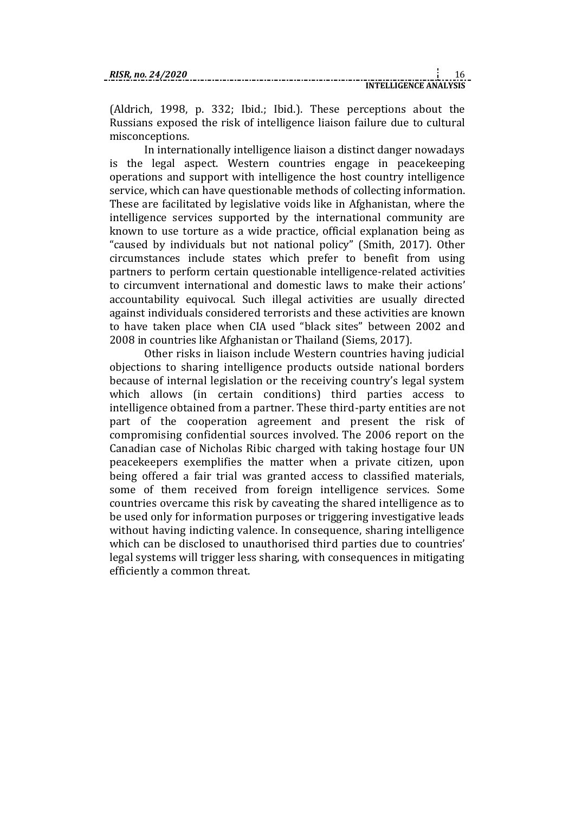(Aldrich, 1998, p. 332; Ibid.; Ibid.). These perceptions about the Russians exposed the risk of intelligence liaison failure due to cultural misconceptions.

In internationally intelligence liaison a distinct danger nowadays is the legal aspect. Western countries engage in peacekeeping operations and support with intelligence the host country intelligence service, which can have questionable methods of collecting information. These are facilitated by legislative voids like in Afghanistan, where the intelligence services supported by the international community are known to use torture as a wide practice, official explanation being as "caused by individuals but not national policy" (Smith, 2017). Other circumstances include states which prefer to benefit from using partners to perform certain questionable intelligence-related activities to circumvent international and domestic laws to make their actions' accountability equivocal. Such illegal activities are usually directed against individuals considered terrorists and these activities are known to have taken place when CIA used "black sites" between 2002 and 2008 in countries like Afghanistan or Thailand (Siems, 2017).

Other risks in liaison include Western countries having judicial objections to sharing intelligence products outside national borders because of internal legislation or the receiving country's legal system which allows (in certain conditions) third parties access to intelligence obtained from a partner. These third-party entities are not part of the cooperation agreement and present the risk of compromising confidential sources involved. The 2006 report on the Canadian case of Nicholas Ribic charged with taking hostage four UN peacekeepers exemplifies the matter when a private citizen, upon being offered a fair trial was granted access to classified materials, some of them received from foreign intelligence services. Some countries overcame this risk by caveating the shared intelligence as to be used only for information purposes or triggering investigative leads without having indicting valence. In consequence, sharing intelligence which can be disclosed to unauthorised third parties due to countries' legal systems will trigger less sharing, with consequences in mitigating efficiently a common threat.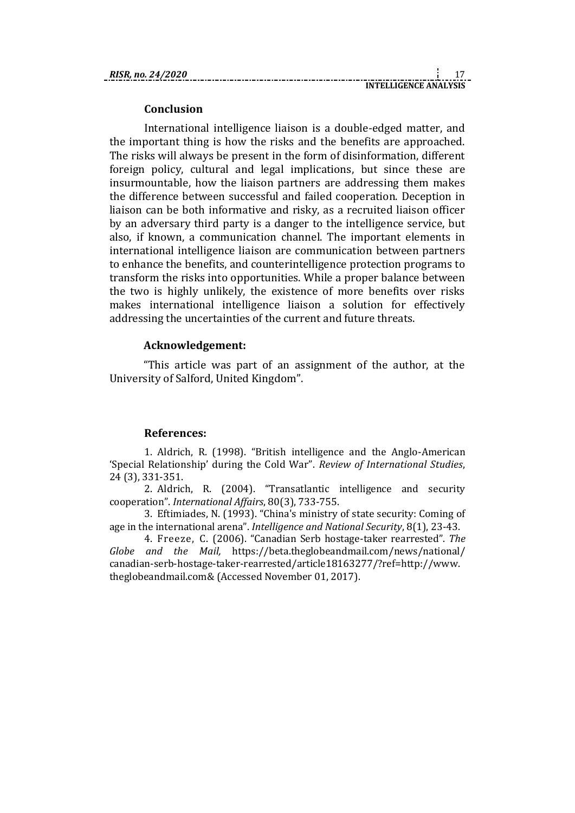**INTELLIGENCE ANALYSIS**

#### **Conclusion**

International intelligence liaison is a double-edged matter, and the important thing is how the risks and the benefits are approached. The risks will always be present in the form of disinformation, different foreign policy, cultural and legal implications, but since these are insurmountable, how the liaison partners are addressing them makes the difference between successful and failed cooperation. Deception in liaison can be both informative and risky, as a recruited liaison officer by an adversary third party is a danger to the intelligence service, but also, if known, a communication channel. The important elements in international intelligence liaison are communication between partners to enhance the benefits, and counterintelligence protection programs to transform the risks into opportunities. While a proper balance between the two is highly unlikely, the existence of more benefits over risks makes international intelligence liaison a solution for effectively addressing the uncertainties of the current and future threats.

#### **Acknowledgement:**

"This article was part of an assignment of the author, at the University of Salford, United Kingdom".

# **References:**

1. Aldrich, R. (1998). "British intelligence and the Anglo-American 'Special Relationship' during the Cold War". *Review of International Studies*, 24 (3), 331-351.

2. Aldrich, R. (2004). "Transatlantic intelligence and security cooperation". *International Affairs*, 80(3), 733-755.

3. Eftimiades, N. (1993). "China's ministry of state security: Coming of age in the international arena". *Intelligence and National Security*, 8(1), 23-43.

4. Freeze, C. (2006). "Canadian Serb hostage-taker rearrested". *The Globe and the Mail,* https://beta.theglobeandmail.com/news/national/ canadian-serb-hostage-taker-rearrested/article18163277/?ref=http://www. theglobeandmail.com& (Accessed November 01, 2017).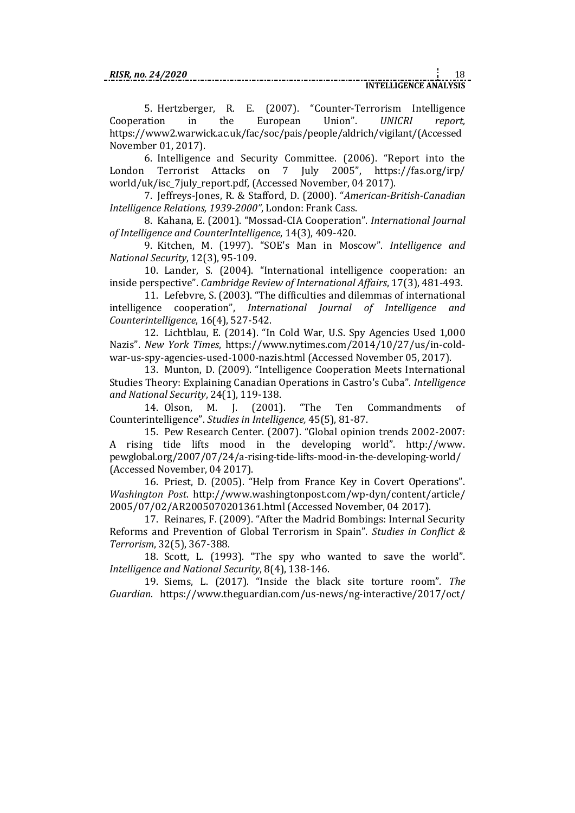5. Hertzberger, R. E. (2007). "Counter-Terrorism Intelligence Cooperation in the European Union". *UNICRI report,*  https://www2.warwick.ac.uk/fac/soc/pais/people/aldrich/vigilant/(Accessed November 01, 2017).

6. Intelligence and Security Committee. (2006). "Report into the London Terrorist Attacks on 7 July 2005", https://fas.org/irp/ world/uk/isc\_7july\_report.pdf, (Accessed November, 04 2017).

7. Jeffreys-Jones, R. & Stafford, D. (2000). "*American-British-Canadian Intelligence Relations, 1939-2000"*, London: Frank Cass.

8. Kahana, E. (2001). "Mossad-CIA Cooperation". *International Journal of Intelligence and CounterIntelligence*, 14(3), 409-420.

9. Kitchen, M. (1997). "SOE's Man in Moscow". *Intelligence and National Security*, 12(3), 95-109.

10. Lander, S. (2004). "International intelligence cooperation: an inside perspective". *Cambridge Review of International Affairs*, 17(3), 481-493.

11. Lefebvre, S. (2003). "The difficulties and dilemmas of international intelligence cooperation", *International Journal of Intelligence and Counterintelligence*, 16(4), 527-542.

12. Lichtblau, E. (2014). "In Cold War, U.S. Spy Agencies Used 1,000 Nazis". *New York Times*, https://www.nytimes.com/2014/10/27/us/in-coldwar-us-spy-agencies-used-1000-nazis.html (Accessed November 05, 2017).

13. Munton, D. (2009). "Intelligence Cooperation Meets International Studies Theory: Explaining Canadian Operations in Castro's Cuba". *Intelligence and National Security*, 24(1), 119-138.

14. Olson, M. J. (2001). "The Ten Commandments of Counterintelligence". *Studies in Intelligence,* 45(5), 81-87.

15. Pew Research Center. (2007). "Global opinion trends 2002-2007: A rising tide lifts mood in the developing world". http://www. pewglobal.org/2007/07/24/a-rising-tide-lifts-mood-in-the-developing-world/ (Accessed November, 04 2017).

16. Priest, D. (2005). "Help from France Key in Covert Operations". *Washington Post*. http://www.washingtonpost.com/wp-dyn/content/article/ 2005/07/02/AR2005070201361.html (Accessed November, 04 2017).

17. Reinares, F. (2009). "After the Madrid Bombings: Internal Security Reforms and Prevention of Global Terrorism in Spain". *Studies in Conflict & Terrorism*, 32(5), 367-388.

18. Scott, L. (1993). "The spy who wanted to save the world". *Intelligence and National Security*, 8(4), 138-146.

19. Siems, L. (2017). "Inside the black site torture room". *The Guardian*. https://www.theguardian.com/us-news/ng-interactive/2017/oct/